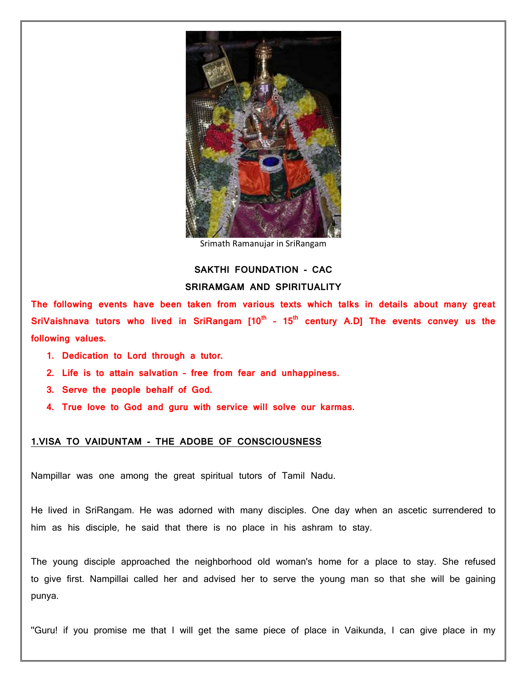

Srimath Ramanujar in SriRangam

# **SAKTHI FOUNDATION - CAC SRIRAMGAM AND SPIRITUALITY**

**The following events have been taken from various texts which talks in details about many great SriVaishnava tutors who lived in SriRangam [10th – 15th century A.D] The events convey us the following values.**

- **1. Dedication to Lord through a tutor.**
- **2. Life is to attain salvation – free from fear and unhappiness.**
- **3. Serve the people behalf of God.**
- **4. True love to God and guru with service will solve our karmas.**

### **1.VISA TO VAIDUNTAM - THE ADOBE OF CONSCIOUSNESS**

Nampillar was one among the great spiritual tutors of Tamil Nadu.

He lived in SriRangam. He was adorned with many disciples. One day when an ascetic surrendered to him as his disciple, he said that there is no place in his ashram to stay.

The young disciple approached the neighborhood old woman's home for a place to stay. She refused to give first. Nampillai called her and advised her to serve the young man so that she will be gaining punya.

''Guru! if you promise me that I will get the same piece of place in Vaikunda, I can give place in my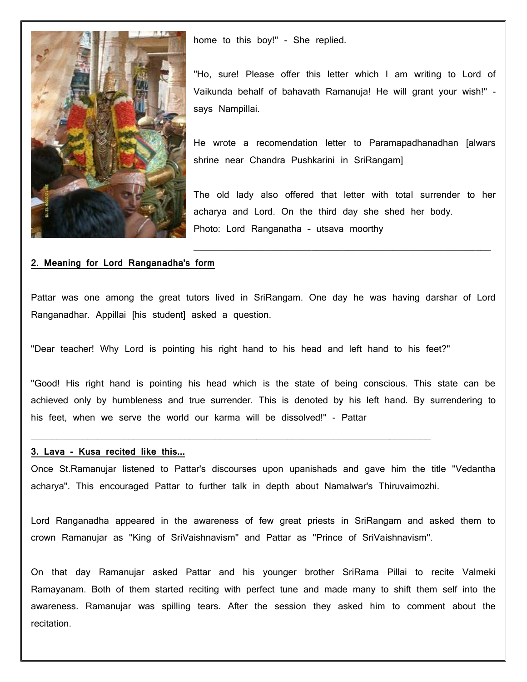

home to this boy!" - She replied.

''Ho, sure! Please offer this letter which I am writing to Lord of Vaikunda behalf of bahavath Ramanuja! He will grant your wish!'' says Nampillai.

He wrote a recomendation letter to Paramapadhanadhan [alwars shrine near Chandra Pushkarini in SriRangam]

The old lady also offered that letter with total surrender to her acharya and Lord. On the third day she shed her body. Photo: Lord Ranganatha – utsava moorthy

 $\mathcal{L}_\text{max}$  , and the contract of the contract of the contract of the contract of the contract of the contract of

### **2. Meaning for Lord Ranganadha's form**

Pattar was one among the great tutors lived in SriRangam. One day he was having darshar of Lord Ranganadhar. Appillai [his student] asked a question.

''Dear teacher! Why Lord is pointing his right hand to his head and left hand to his feet?''

 $\frac{1}{2}$  ,  $\frac{1}{2}$  ,  $\frac{1}{2}$  ,  $\frac{1}{2}$  ,  $\frac{1}{2}$  ,  $\frac{1}{2}$  ,  $\frac{1}{2}$  ,  $\frac{1}{2}$  ,  $\frac{1}{2}$  ,  $\frac{1}{2}$  ,  $\frac{1}{2}$  ,  $\frac{1}{2}$  ,  $\frac{1}{2}$  ,  $\frac{1}{2}$  ,  $\frac{1}{2}$  ,  $\frac{1}{2}$  ,  $\frac{1}{2}$  ,  $\frac{1}{2}$  ,  $\frac{1$ 

''Good! His right hand is pointing his head which is the state of being conscious. This state can be achieved only by humbleness and true surrender. This is denoted by his left hand. By surrendering to his feet, when we serve the world our karma will be dissolved!'' - Pattar

#### **3. Lava - Kusa recited like this...**

Once St.Ramanujar listened to Pattar's discourses upon upanishads and gave him the title ''Vedantha acharya''. This encouraged Pattar to further talk in depth about Namalwar's Thiruvaimozhi.

Lord Ranganadha appeared in the awareness of few great priests in SriRangam and asked them to crown Ramanujar as ''King of SriVaishnavism'' and Pattar as ''Prince of SriVaishnavism''.

On that day Ramanujar asked Pattar and his younger brother SriRama Pillai to recite Valmeki Ramayanam. Both of them started reciting with perfect tune and made many to shift them self into the awareness. Ramanujar was spilling tears. After the session they asked him to comment about the recitation.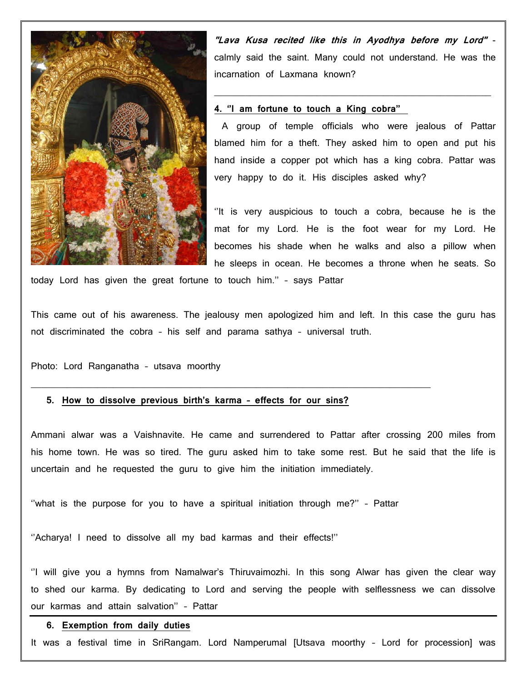

**''Lava Kusa recited like this in Ayodhya before my Lord''**  calmly said the saint. Many could not understand. He was the incarnation of Laxmana known?

 $\mathcal{L}_\text{max}$  , and the contract of the contract of the contract of the contract of the contract of the contract of

#### **4. ''I am fortune to touch a King cobra''**

A group of temple officials who were jealous of Pattar blamed him for a theft. They asked him to open and put his hand inside a copper pot which has a king cobra. Pattar was very happy to do it. His disciples asked why?

''It is very auspicious to touch a cobra, because he is the mat for my Lord. He is the foot wear for my Lord. He becomes his shade when he walks and also a pillow when he sleeps in ocean. He becomes a throne when he seats. So

today Lord has given the great fortune to touch him.'' – says Pattar

This came out of his awareness. The jealousy men apologized him and left. In this case the guru has not discriminated the cobra – his self and parama sathya – universal truth.

Photo: Lord Ranganatha – utsava moorthy

### **5. How to dissolve previous birth's karma – effects for our sins?**

 $\mathcal{L}_\mathcal{L} = \mathcal{L}_\mathcal{L} = \mathcal{L}_\mathcal{L} = \mathcal{L}_\mathcal{L} = \mathcal{L}_\mathcal{L} = \mathcal{L}_\mathcal{L} = \mathcal{L}_\mathcal{L} = \mathcal{L}_\mathcal{L} = \mathcal{L}_\mathcal{L} = \mathcal{L}_\mathcal{L} = \mathcal{L}_\mathcal{L} = \mathcal{L}_\mathcal{L} = \mathcal{L}_\mathcal{L} = \mathcal{L}_\mathcal{L} = \mathcal{L}_\mathcal{L} = \mathcal{L}_\mathcal{L} = \mathcal{L}_\mathcal{L}$ 

Ammani alwar was a Vaishnavite. He came and surrendered to Pattar after crossing 200 miles from his home town. He was so tired. The guru asked him to take some rest. But he said that the life is uncertain and he requested the guru to give him the initiation immediately.

''what is the purpose for you to have a spiritual initiation through me?'' – Pattar

''Acharya! I need to dissolve all my bad karmas and their effects!''

''I will give you a hymns from Namalwar's Thiruvaimozhi. In this song Alwar has given the clear way to shed our karma. By dedicating to Lord and serving the people with selflessness we can dissolve our karmas and attain salvation'' – Pattar

### **6. Exemption from daily duties**

It was a festival time in SriRangam. Lord Namperumal [Utsava moorthy – Lord for procession] was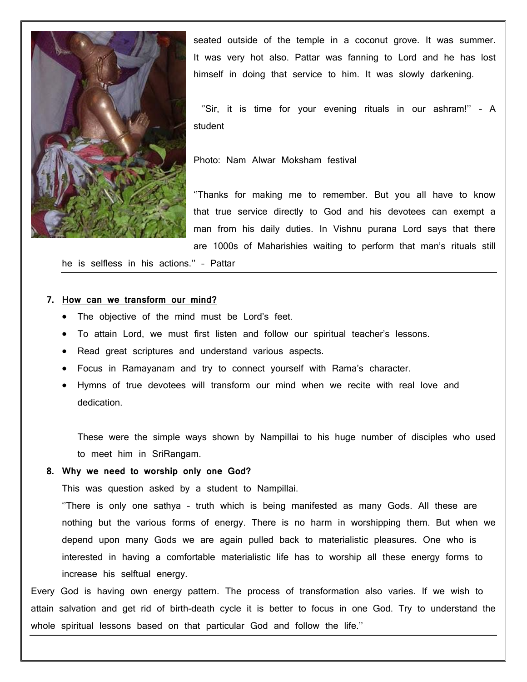

seated outside of the temple in a coconut grove. It was summer. It was very hot also. Pattar was fanning to Lord and he has lost himself in doing that service to him. It was slowly darkening.

"Sir, it is time for your evening rituals in our ashram!" - A student

Photo: Nam Alwar Moksham festival

''Thanks for making me to remember. But you all have to know that true service directly to God and his devotees can exempt a man from his daily duties. In Vishnu purana Lord says that there are 1000s of Maharishies waiting to perform that man's rituals still

he is selfless in his actions.'' – Pattar

#### **7. How can we transform our mind?**

- The objective of the mind must be Lord's feet.
- To attain Lord, we must first listen and follow our spiritual teacher's lessons.
- Read great scriptures and understand various aspects.
- Focus in Ramayanam and try to connect yourself with Rama's character.
- Hymns of true devotees will transform our mind when we recite with real love and dedication.

These were the simple ways shown by Nampillai to his huge number of disciples who used to meet him in SriRangam.

#### **8. Why we need to worship only one God?**

This was question asked by a student to Nampillai.

''There is only one sathya – truth which is being manifested as many Gods. All these are nothing but the various forms of energy. There is no harm in worshipping them. But when we depend upon many Gods we are again pulled back to materialistic pleasures. One who is interested in having a comfortable materialistic life has to worship all these energy forms to increase his selftual energy.

Every God is having own energy pattern. The process of transformation also varies. If we wish to attain salvation and get rid of birth-death cycle it is better to focus in one God. Try to understand the whole spiritual lessons based on that particular God and follow the life.''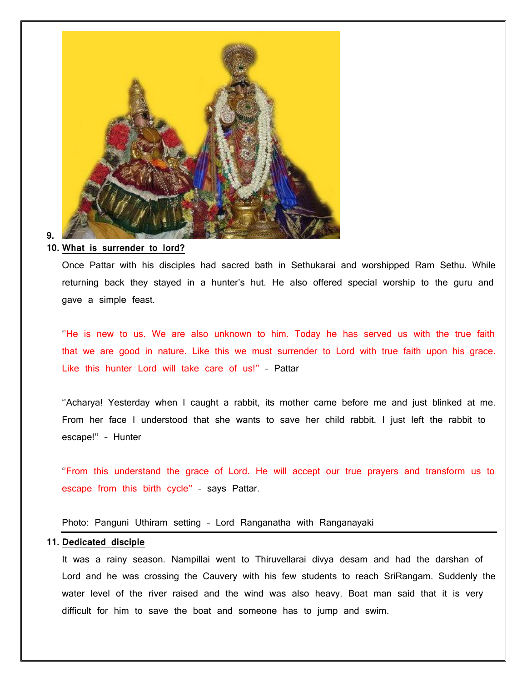

### **9.**

### **10. What is surrender to lord?**

Once Pattar with his disciples had sacred bath in Sethukarai and worshipped Ram Sethu. While returning back they stayed in a hunter's hut. He also offered special worship to the guru and gave a simple feast.

''He is new to us. We are also unknown to him. Today he has served us with the true faith that we are good in nature. Like this we must surrender to Lord with true faith upon his grace. Like this hunter Lord will take care of us!'' – Pattar

''Acharya! Yesterday when I caught a rabbit, its mother came before me and just blinked at me. From her face I understood that she wants to save her child rabbit. I just left the rabbit to escape!'' – Hunter

''From this understand the grace of Lord. He will accept our true prayers and transform us to escape from this birth cycle'' – says Pattar.

### Photo: Panguni Uthiram setting – Lord Ranganatha with Ranganayaki

### **11. Dedicated disciple**

It was a rainy season. Nampillai went to Thiruvellarai divya desam and had the darshan of Lord and he was crossing the Cauvery with his few students to reach SriRangam. Suddenly the water level of the river raised and the wind was also heavy. Boat man said that it is very difficult for him to save the boat and someone has to jump and swim.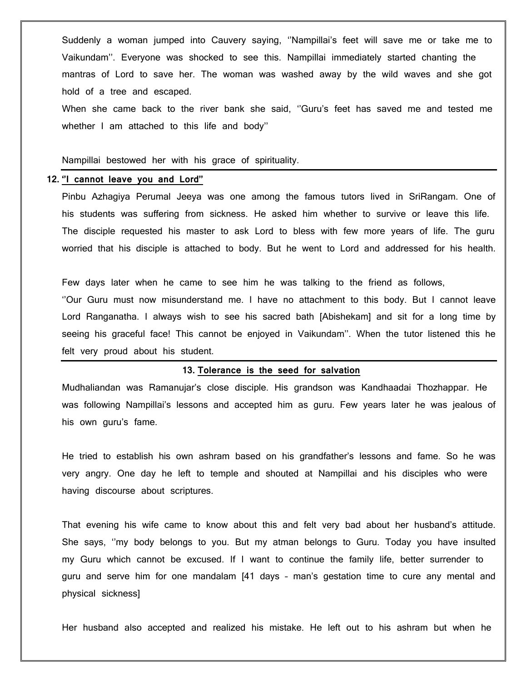Suddenly a woman jumped into Cauvery saying, ''Nampillai's feet will save me or take me to Vaikundam''. Everyone was shocked to see this. Nampillai immediately started chanting the mantras of Lord to save her. The woman was washed away by the wild waves and she got hold of a tree and escaped.

When she came back to the river bank she said, ''Guru's feet has saved me and tested me whether I am attached to this life and body''

Nampillai bestowed her with his grace of spirituality.

#### **12. ''I cannot leave you and Lord''**

Pinbu Azhagiya Perumal Jeeya was one among the famous tutors lived in SriRangam. One of his students was suffering from sickness. He asked him whether to survive or leave this life. The disciple requested his master to ask Lord to bless with few more years of life. The guru worried that his disciple is attached to body. But he went to Lord and addressed for his health.

Few days later when he came to see him he was talking to the friend as follows, ''Our Guru must now misunderstand me. I have no attachment to this body. But I cannot leave Lord Ranganatha. I always wish to see his sacred bath [Abishekam] and sit for a long time by seeing his graceful face! This cannot be enjoyed in Vaikundam''. When the tutor listened this he felt very proud about his student.

#### **13. Tolerance is the seed for salvation**

Mudhaliandan was Ramanujar's close disciple. His grandson was Kandhaadai Thozhappar. He was following Nampillai's lessons and accepted him as guru. Few years later he was jealous of his own guru's fame.

He tried to establish his own ashram based on his grandfather's lessons and fame. So he was very angry. One day he left to temple and shouted at Nampillai and his disciples who were having discourse about scriptures.

That evening his wife came to know about this and felt very bad about her husband's attitude. She says, ''my body belongs to you. But my atman belongs to Guru. Today you have insulted my Guru which cannot be excused. If I want to continue the family life, better surrender to guru and serve him for one mandalam [41 days – man's gestation time to cure any mental and physical sickness]

Her husband also accepted and realized his mistake. He left out to his ashram but when he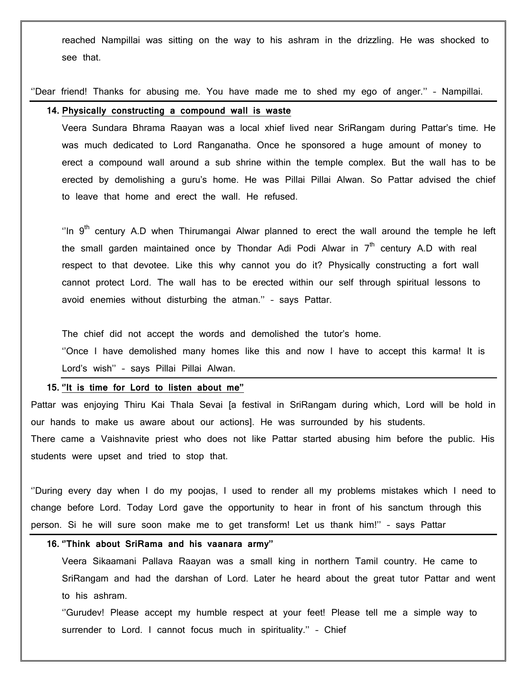reached Nampillai was sitting on the way to his ashram in the drizzling. He was shocked to see that.

''Dear friend! Thanks for abusing me. You have made me to shed my ego of anger.'' – Nampillai.

### **14. Physically constructing a compound wall is waste**

Veera Sundara Bhrama Raayan was a local xhief lived near SriRangam during Pattar's time. He was much dedicated to Lord Ranganatha. Once he sponsored a huge amount of money to erect a compound wall around a sub shrine within the temple complex. But the wall has to be erected by demolishing a guru's home. He was Pillai Pillai Alwan. So Pattar advised the chief to leave that home and erect the wall. He refused.

"In  $9<sup>th</sup>$  century A.D when Thirumangai Alwar planned to erect the wall around the temple he left the small garden maintained once by Thondar Adi Podi Alwar in  $7<sup>th</sup>$  century A.D with real respect to that devotee. Like this why cannot you do it? Physically constructing a fort wall cannot protect Lord. The wall has to be erected within our self through spiritual lessons to avoid enemies without disturbing the atman.'' – says Pattar.

The chief did not accept the words and demolished the tutor's home.

''Once I have demolished many homes like this and now I have to accept this karma! It is Lord's wish'' – says Pillai Pillai Alwan.

#### **15. ''It is time for Lord to listen about me''**

Pattar was enjoying Thiru Kai Thala Sevai [a festival in SriRangam during which, Lord will be hold in our hands to make us aware about our actions]. He was surrounded by his students. There came a Vaishnavite priest who does not like Pattar started abusing him before the public. His students were upset and tried to stop that.

''During every day when I do my poojas, I used to render all my problems mistakes which I need to change before Lord. Today Lord gave the opportunity to hear in front of his sanctum through this person. Si he will sure soon make me to get transform! Let us thank him!'' – says Pattar

### **16. ''Think about SriRama and his vaanara army''**

Veera Sikaamani Pallava Raayan was a small king in northern Tamil country. He came to SriRangam and had the darshan of Lord. Later he heard about the great tutor Pattar and went to his ashram.

''Gurudev! Please accept my humble respect at your feet! Please tell me a simple way to surrender to Lord. I cannot focus much in spirituality." - Chief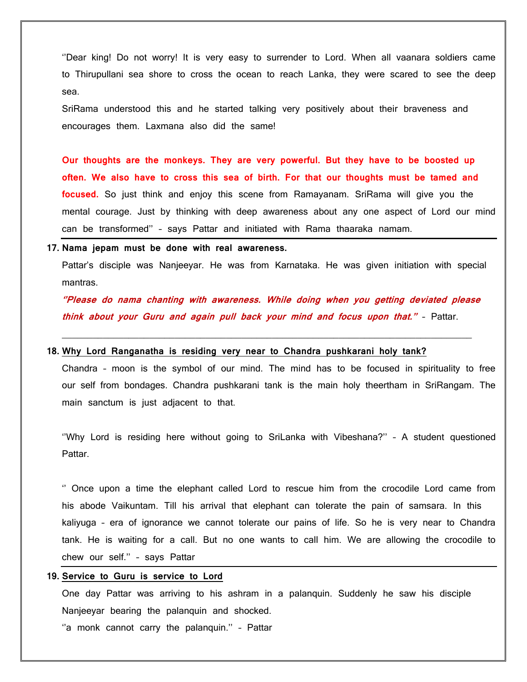''Dear king! Do not worry! It is very easy to surrender to Lord. When all vaanara soldiers came to Thirupullani sea shore to cross the ocean to reach Lanka, they were scared to see the deep sea.

SriRama understood this and he started talking very positively about their braveness and encourages them. Laxmana also did the same!

**Our thoughts are the monkeys. They are very powerful. But they have to be boosted up often. We also have to cross this sea of birth. For that our thoughts must be tamed and focused.** So just think and enjoy this scene from Ramayanam. SriRama will give you the mental courage. Just by thinking with deep awareness about any one aspect of Lord our mind can be transformed'' – says Pattar and initiated with Rama thaaraka namam.

#### **17. Nama jepam must be done with real awareness.**

Pattar's disciple was Nanjeeyar. He was from Karnataka. He was given initiation with special mantras.

**''Please do nama chanting with awareness. While doing when you getting deviated please think about your Guru and again pull back your mind and focus upon that.''** – Pattar.

\_\_\_\_\_\_\_\_\_\_\_\_\_\_\_\_\_\_\_\_\_\_\_\_\_\_\_\_\_\_\_\_\_\_\_\_\_\_\_\_\_\_\_\_\_\_\_\_\_\_\_\_\_\_\_\_\_\_\_\_\_\_\_\_\_\_\_\_\_\_\_\_\_\_\_\_\_\_\_\_

### **18. Why Lord Ranganatha is residing very near to Chandra pushkarani holy tank?**

Chandra – moon is the symbol of our mind. The mind has to be focused in spirituality to free our self from bondages. Chandra pushkarani tank is the main holy theertham in SriRangam. The main sanctum is just adjacent to that.

''Why Lord is residing here without going to SriLanka with Vibeshana?'' – A student questioned Pattar.

'' Once upon a time the elephant called Lord to rescue him from the crocodile Lord came from his abode Vaikuntam. Till his arrival that elephant can tolerate the pain of samsara. In this kaliyuga – era of ignorance we cannot tolerate our pains of life. So he is very near to Chandra tank. He is waiting for a call. But no one wants to call him. We are allowing the crocodile to chew our self.'' – says Pattar

#### **19. Service to Guru is service to Lord**

One day Pattar was arriving to his ashram in a palanquin. Suddenly he saw his disciple Nanjeeyar bearing the palanquin and shocked.

"a monk cannot carry the palanquin." - Pattar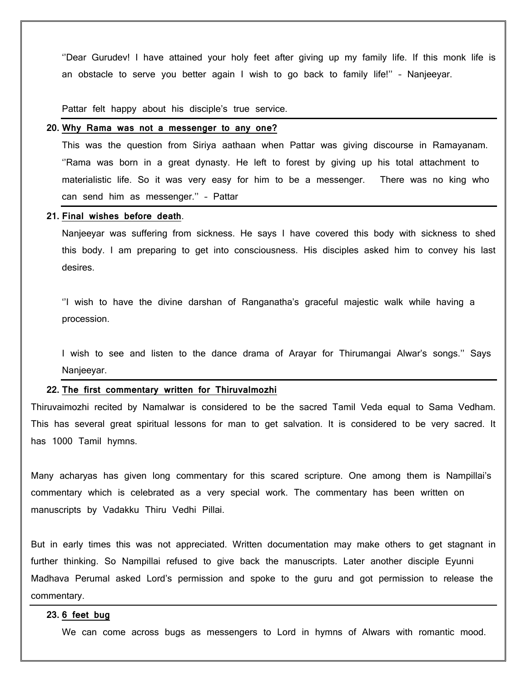''Dear Gurudev! I have attained your holy feet after giving up my family life. If this monk life is an obstacle to serve you better again I wish to go back to family life!'' – Nanjeeyar.

Pattar felt happy about his disciple's true service.

### **20. Why Rama was not a messenger to any one?**

This was the question from Siriya aathaan when Pattar was giving discourse in Ramayanam. ''Rama was born in a great dynasty. He left to forest by giving up his total attachment to materialistic life. So it was very easy for him to be a messenger. There was no king who can send him as messenger.'' – Pattar

#### **21. Final wishes before death**.

Nanjeeyar was suffering from sickness. He says I have covered this body with sickness to shed this body. I am preparing to get into consciousness. His disciples asked him to convey his last desires.

''I wish to have the divine darshan of Ranganatha's graceful majestic walk while having a procession.

I wish to see and listen to the dance drama of Arayar for Thirumangai Alwar's songs.'' Says Nanjeeyar.

#### **22. The first commentary written for Thiruvalmozhi**

Thiruvaimozhi recited by Namalwar is considered to be the sacred Tamil Veda equal to Sama Vedham. This has several great spiritual lessons for man to get salvation. It is considered to be very sacred. It has 1000 Tamil hymns.

Many acharyas has given long commentary for this scared scripture. One among them is Nampillai's commentary which is celebrated as a very special work. The commentary has been written on manuscripts by Vadakku Thiru Vedhi Pillai.

But in early times this was not appreciated. Written documentation may make others to get stagnant in further thinking. So Nampillai refused to give back the manuscripts. Later another disciple Eyunni Madhava Perumal asked Lord's permission and spoke to the guru and got permission to release the commentary.

### **23. 6 feet bug**

We can come across bugs as messengers to Lord in hymns of Alwars with romantic mood.